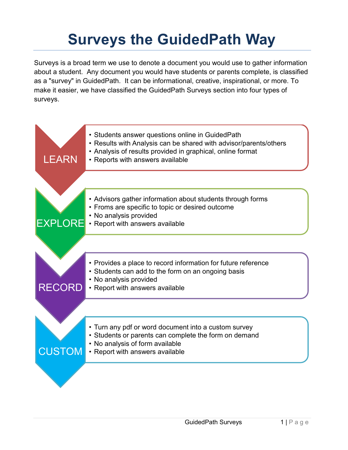# **Surveys the GuidedPath Way**

Surveys is a broad term we use to denote a document you would use to gather information about a student. Any document you would have students or parents complete, is classified as a "survey" in GuidedPath. It can be informational, creative, inspirational, or more. To make it easier, we have classified the GuidedPath Surveys section into four types of surveys.

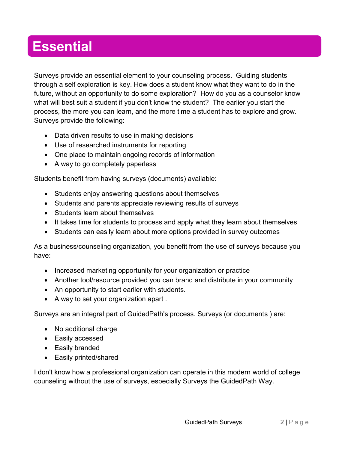## **Essential**

Surveys provide an essential element to your counseling process. Guiding students through a self exploration is key. How does a student know what they want to do in the future, without an opportunity to do some exploration? How do you as a counselor know what will best suit a student if you don't know the student? The earlier you start the process, the more you can learn, and the more time a student has to explore and grow. Surveys provide the following:

- Data driven results to use in making decisions
- Use of researched instruments for reporting
- One place to maintain ongoing records of information
- A way to go completely paperless

Students benefit from having surveys (documents) available:

- Students enjoy answering questions about themselves
- Students and parents appreciate reviewing results of surveys
- Students learn about themselves
- It takes time for students to process and apply what they learn about themselves
- Students can easily learn about more options provided in survey outcomes

As a business/counseling organization, you benefit from the use of surveys because you have:

- Increased marketing opportunity for your organization or practice
- Another tool/resource provided you can brand and distribute in your community
- An opportunity to start earlier with students.
- A way to set your organization apart .

Surveys are an integral part of GuidedPath's process. Surveys (or documents ) are:

- No additional charge
- Easily accessed
- Easily branded
- Easily printed/shared

I don't know how a professional organization can operate in this modern world of college counseling without the use of surveys, especially Surveys the GuidedPath Way.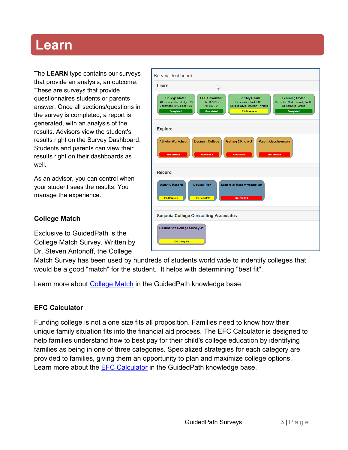### **Learn**

The **LEARN** type contains our surveys that provide an analysis, an outcome. These are surveys that provide questionnaires students or parents answer. Once all sections/questions in the survey is completed, a report is generated, with an analysis of the results. Advisors view the student's results right on the Survey Dashboard. Students and parents can view their results right on their dashboards as well

As an advisor, you can control when your student sees the results. You manage the experience.

#### **College Match**

Exclusive to GuidedPath is the College Match Survey. Written by Dr. Steven Antonoff, the College

| Ľ                                                                                                                                                                                        |                                                                |                                                                                                       |  |  |  |  |
|------------------------------------------------------------------------------------------------------------------------------------------------------------------------------------------|----------------------------------------------------------------|-------------------------------------------------------------------------------------------------------|--|--|--|--|
| <b>EFC Calculator</b><br>FM: \$25.975<br>IM: \$38,784<br><b>Completed</b>                                                                                                                | <b>Find My Spark</b><br>Personality Trait: ENTJ<br>0% Complete | <b>Learning Styles</b><br>Receptive Style: Visual, Tactile<br>Social Style: Group<br><b>Completed</b> |  |  |  |  |
| <b>Explore</b>                                                                                                                                                                           |                                                                |                                                                                                       |  |  |  |  |
| <b>Athletic Worksheet</b><br>Getting 2 Know U<br><b>Parent Questionnaire</b><br>Design a College<br><b>Not started</b><br><b>Not started</b><br><b>Not started</b><br><b>Not started</b> |                                                                |                                                                                                       |  |  |  |  |
| Record                                                                                                                                                                                   |                                                                |                                                                                                       |  |  |  |  |
| <b>Activity Record</b><br><b>Course Plan</b><br><b>Letters of Recommendation</b><br>0% Complete<br>16% Complete<br><b>Not started</b>                                                    |                                                                |                                                                                                       |  |  |  |  |
| <b>Sequoia College Consulting Associates</b>                                                                                                                                             |                                                                |                                                                                                       |  |  |  |  |
|                                                                                                                                                                                          |                                                                |                                                                                                       |  |  |  |  |
|                                                                                                                                                                                          | <b>Destination College Survey #1</b>                           | College Style: Intuition-Thinking                                                                     |  |  |  |  |

Match Survey has been used by hundreds of students world wide to indentify colleges that would be a good "match" for the student. It helps with determining "best fit".

Learn more about [College](https://guidedpath.zendesk.com/hc/en-us/articles/202546593-College-Match-Survey) Match in the GuidedPath knowledge base.

#### **EFC Calculator**

Funding college is not a one size fits all proposition. Families need to know how their unique family situation fits into the financial aid process. The EFC Calculator is designed to help families understand how to best pay for their child's college education by identifying families as being in one of three categories. Specialized strategies for each category are provided to families, giving them an opportunity to plan and maximize college options. Learn more about the **EFC Calculator** in the GuidedPath knowledge base.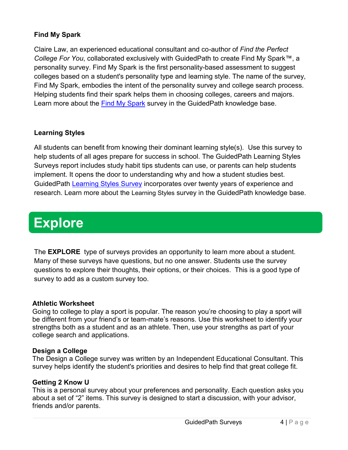#### **Find My Spark**

Claire Law, an experienced educational consultant and co-author of *Find the Perfect College For You*, collaborated exclusively with GuidedPath to create Find My Spark™, a personality survey. Find My Spark is the first personality-based assessment to suggest colleges based on a student's personality type and learning style. The name of the survey, Find My Spark, embodies the intent of the personality survey and college search process. Helping students find their spark helps them in choosing colleges, careers and majors. Learn more about the [Find My Spark](https://guidedpath.zendesk.com/hc/en-us/articles/200906786-Find-My-Spark-Survey) survey in the GuidedPath knowledge base.

#### **Learning Styles**

All students can benefit from knowing their dominant learning style(s). Use this survey to help students of all ages prepare for success in school. The GuidedPath Learning Styles Surveys report includes study habit tips students can use, or parents can help students implement. It opens the door to understanding why and how a student studies best. GuidedPath [Learning Styles Survey](https://guidedpath.zendesk.com/hc/en-us/articles/115002726923-Learning-Styles-Survey) incorporates over twenty years of experience and research. Learn more about the [Learning Styles](https://guidedpath.zendesk.com/hc/en-us/articles/115002726923-Learning-Styles-Survey) survey in the GuidedPath knowledge base.

## **Explore**

The **EXPLORE** type of surveys provides an opportunity to learn more about a student. Many of these surveys have questions, but no one answer. Students use the survey questions to explore their thoughts, their options, or their choices. This is a good type of survey to add as a custom survey too.

#### **Athletic Worksheet**

Going to college to play a sport is popular. The reason you're choosing to play a sport will be different from your friend's or team-mate's reasons. Use this worksheet to identify your strengths both as a student and as an athlete. Then, use your strengths as part of your college search and applications.

#### **Design a College**

The Design a College survey was written by an Independent Educational Consultant. This survey helps identify the student's priorities and desires to help find that great college fit.

#### **Getting 2 Know U**

This is a personal survey about your preferences and personality. Each question asks you about a set of "2" items. This survey is designed to start a discussion, with your advisor, friends and/or parents.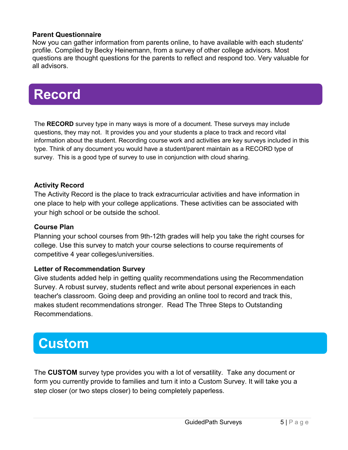#### **Parent Questionnaire**

Now you can gather information from parents online, to have available with each students' profile. Compiled by Becky Heinemann, from a survey of other college advisors. Most questions are thought questions for the parents to reflect and respond too. Very valuable for all advisors.

## **Record**

The **RECORD** survey type in many ways is more of a document. These surveys may include questions, they may not. It provides you and your students a place to track and record vital information about the student. Recording course work and activities are key surveys included in this type. Think of any document you would have a student/parent maintain as a RECORD type of survey. This is a good type of survey to use in conjunction with cloud sharing.

#### **Activity Record**

The Activity Record is the place to track extracurricular activities and have information in one place to help with your college applications. These activities can be associated with your high school or be outside the school.

#### **Course Plan**

Planning your school courses from 9th-12th grades will help you take the right courses for college. Use this survey to match your course selections to course requirements of competitive 4 year colleges/universities.

#### **Letter of Recommendation Survey**

Give students added help in getting quality recommendations using the Recommendation Survey. A robust survey, students reflect and write about personal experiences in each teacher's classroom. Going deep and providing an online tool to record and track this, makes student recommendations stronger. Read [The Three Steps to Outstanding](file:///C:/hc/en-us/articles/205719249)  [Recommendations.](file:///C:/hc/en-us/articles/205719249)

### **Custom**

The **CUSTOM** survey type provides you with a lot of versatility. Take any document or form you currently provide to families and turn it into a Custom Survey. It will take you a step closer (or two steps closer) to being completely paperless.